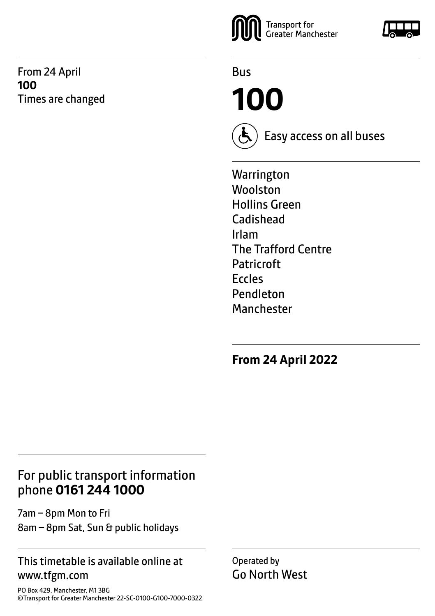From 24 April **100** Times are changed



Bus

**100**



Easy access on all buses

**Warrington** Woolston Hollins Green Cadishead Irlam The Trafford Centre Patricroft Eccles Pendleton Manchester

**From 24 April 2022**

## For public transport information phone **0161 244 1000**

7am – 8pm Mon to Fri 8am – 8pm Sat, Sun & public holidays

#### This timetable is available online at www.tfgm.com

PO Box 429, Manchester, M1 3BG ©Transport for Greater Manchester 22-SC-0100-G100-7000-0322 Operated by Go North West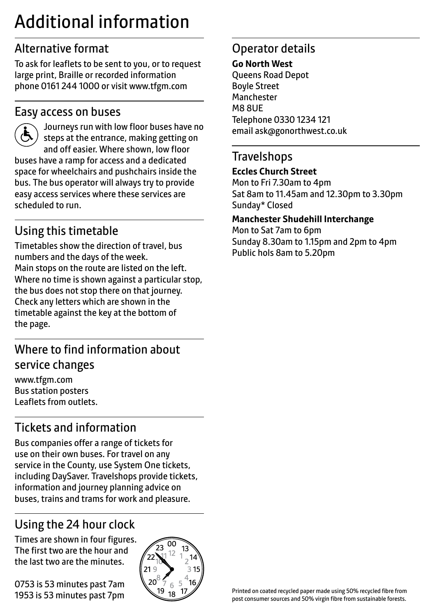## Additional information

## Alternative format

To ask for leaflets to be sent to you, or to request large print, Braille or recorded information phone 0161 244 1000 or visit www.tfgm.com

#### Easy access on buses



 Journeys run with low floor buses have no steps at the entrance, making getting on and off easier. Where shown, low floor buses have a ramp for access and a dedicated space for wheelchairs and pushchairs inside the bus. The bus operator will always try to provide easy access services where these services are scheduled to run.

## Using this timetable

Timetables show the direction of travel, bus numbers and the days of the week. Main stops on the route are listed on the left. Where no time is shown against a particular stop, the bus does not stop there on that journey. Check any letters which are shown in the timetable against the key at the bottom of the page.

## Where to find information about service changes

www.tfgm.com Bus station posters Leaflets from outlets.

## Tickets and information

Bus companies offer a range of tickets for use on their own buses. For travel on any service in the County, use System One tickets, including DaySaver. Travelshops provide tickets, information and journey planning advice on buses, trains and trams for work and pleasure.

## Using the 24 hour clock

Times are shown in four figures. The first two are the hour and the last two are the minutes.

0753 is 53 minutes past 7am 1953 is 53 minutes past 7pm



## Operator details

#### **Go North West**

Queens Road Depot Boyle Street Manchester M8 8UE Telephone 0330 1234 121 email ask@gonorthwest.co.uk

#### **Travelshops**

#### **Eccles Church Street**

Mon to Fri 7.30am to 4pm Sat 8am to 11.45am and 12.30pm to 3.30pm Sunday\* Closed

#### **Manchester Shudehill Interchange**

Mon to Sat 7am to 6pm Sunday 8.30am to 1.15pm and 2pm to 4pm Public hols 8am to 5.20pm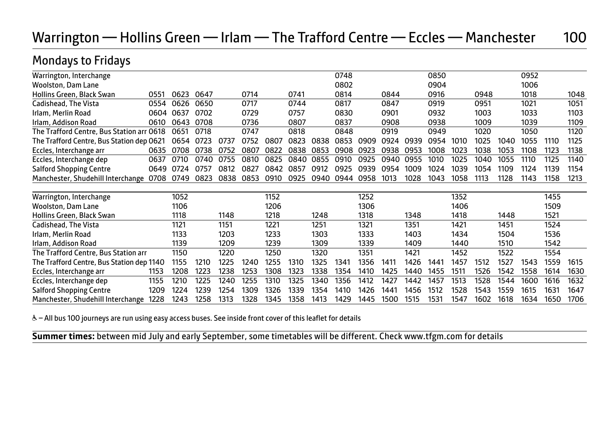## Warrington — Hollins Green — Irlam — The Trafford Centre — Eccles — Manchester 100

## Mondays to Fridays

| Warrington, Interchange                   |      |      |      |      |      |      |      |      | 0748 |      |      |      | 0850 |      |      |      | 0952 |      |      |
|-------------------------------------------|------|------|------|------|------|------|------|------|------|------|------|------|------|------|------|------|------|------|------|
| <b>Woolston, Dam Lane</b>                 |      |      |      |      |      |      |      |      | 0802 |      |      |      | 0904 |      |      |      | 1006 |      |      |
| Hollins Green, Black Swan                 | 0551 | 0623 | 0647 |      | 0714 |      | 0741 |      | 0814 |      | 0844 |      | 0916 |      | 0948 |      | 1018 |      | 1048 |
| Cadishead, The Vista                      | 0554 | 0626 | 0650 |      | 0717 |      | 0744 |      | 0817 |      | 0847 |      | 0919 |      | 0951 |      | 1021 |      | 1051 |
| Irlam, Merlin Road                        | 0604 | 0637 | 0702 |      | 0729 |      | 0757 |      | 0830 |      | 0901 |      | 0932 |      | 1003 |      | 1033 |      | 1103 |
| Irlam, Addison Road                       | 0610 | 0643 | 0708 |      | 0736 |      | 0807 |      | 0837 |      | 0908 |      | 0938 |      | 1009 |      | 1039 |      | 1109 |
| The Trafford Centre, Bus Station arr 0618 |      | 0651 | 0718 |      | 0747 |      | 0818 |      | 0848 |      | 0919 |      | 0949 |      | 1020 |      | 1050 |      | 1120 |
| The Trafford Centre, Bus Station dep 0621 |      | 0654 | 0723 | 0737 | 0752 | 0807 | 0823 | 0838 | 0853 | 0909 | 0924 | 0939 | 0954 | 1010 | 1025 | 1040 | 1055 | 1110 | 1125 |
| Eccles, Interchange arr                   | 0635 | 0708 | 0738 | 0752 | 0807 | 0822 | 0838 | 0853 | 0908 | 0923 | 0938 | 0953 | 1008 | 1023 | 1038 | 1053 | 1108 | 1123 | 1138 |
| Eccles, Interchange dep                   | 0637 | 0710 | 0740 | 0755 | 0810 | 0825 | 0840 | 0855 | 0910 | 0925 | 0940 | 0955 | 1010 | 1025 | 1040 | 1055 | 1110 | 1125 | 1140 |
| <b>Salford Shopping Centre</b>            | 0649 | 0724 | 0757 | 0812 | 0827 | 0842 | 0857 | 0912 | 0925 | 0939 | 0954 | 1009 | 1024 | 1039 | 1054 | 1109 | 1124 | 1139 | 1154 |
| Manchester, Shudehill Interchange         | 0708 | 0749 | 0823 | 0838 | 0853 | 0910 | 0925 | 0940 | 0944 | 0958 | 1013 | 1028 | 1043 | 1058 | 1113 | 1128 | 1143 | 1158 | 1213 |
|                                           |      |      |      |      |      |      |      |      |      |      |      |      |      |      |      |      |      |      |      |
| Warrington, Interchange                   |      | 1052 |      |      |      | 1152 |      |      |      | 1252 |      |      |      | 1352 |      |      |      | 1455 |      |
| Woolston, Dam Lane                        |      | 1106 |      |      |      | 1206 |      |      |      | 1306 |      |      |      | 1406 |      |      |      | 1509 |      |
| Hollins Green, Black Swan                 |      | 1118 |      | 1148 |      | 1218 |      | 1248 |      | 1318 |      | 1348 |      | 1418 |      | 1448 |      | 1521 |      |
| Cadishead, The Vista                      |      | 1121 |      | 1151 |      | 1221 |      | 1251 |      | 1321 |      | 1351 |      | 1421 |      | 1451 |      | 1524 |      |
| Irlam, Merlin Road                        |      | 1133 |      | 1203 |      | 1233 |      | 1303 |      | 1333 |      | 1403 |      | 1434 |      | 1504 |      | 1536 |      |
| Irlam, Addison Road                       |      | 1139 |      | 1209 |      | 1239 |      | 1309 |      | 1339 |      | 1409 |      | 1440 |      | 1510 |      | 1542 |      |
| The Trafford Centre, Bus Station arr      |      | 1150 |      | 1220 |      | 1250 |      | 1320 |      | 1351 |      | 1421 |      | 1452 |      | 1522 |      | 1554 |      |
| The Trafford Centre, Bus Station dep 1140 |      | 1155 | 1210 | 1225 | 1240 | 1255 | 1310 | 1325 | 1341 | 1356 | 1411 | 1426 | 1441 | 1457 | 1512 | 1527 | 1543 | 1559 | 1615 |
| Eccles, Interchange arr                   | 1153 | 1208 | 1223 | 1238 | 1253 | 1308 | 1323 | 1338 | 1354 | 1410 | 1425 | 1440 | 1455 | 1511 | 1526 | 1542 | 1558 | 1614 | 1630 |
| Eccles, Interchange dep                   | 1155 | 1210 | 1225 | 1240 | 1255 | 1310 | 1325 | 1340 | 1356 | 1412 | 1427 | 1442 | 1457 | 1513 | 1528 | 1544 | 1600 | 1616 | 1632 |
| <b>Salford Shopping Centre</b>            | 1209 | 1224 | 1239 | 1254 | 1309 | 1326 | 1339 | 1354 | 1410 | 1426 | 1441 | 1456 | 1512 | 1528 | 1543 | 1559 | 1615 | 1631 | 1647 |
| Manchester, Shudehill Interchange         | 1228 | 1243 | 1258 | 1313 | 1328 | 1345 | 1358 | 1413 | 1429 | 1445 | 1500 | 1515 | 1531 | 1547 | 1602 | 1618 | 1634 | 1650 | 1706 |
|                                           |      |      |      |      |      |      |      |      |      |      |      |      |      |      |      |      |      |      |      |

& - All bus 100 journeys are run using easy access buses. See inside front cover of this leaflet for details

**Summer times:** between mid July and early September, some timetables will be different. Check www.tfgm.com for details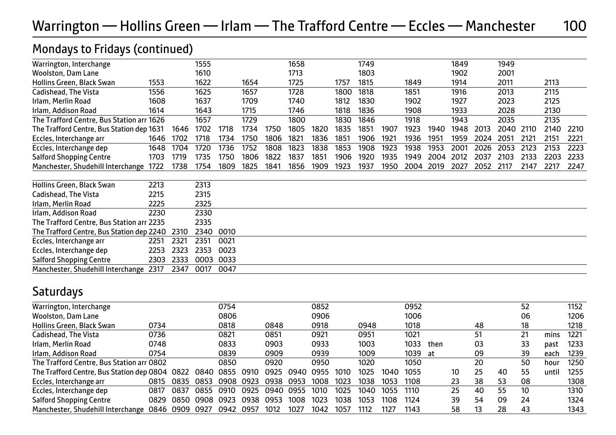## Warrington — Hollins Green — Irlam — The Trafford Centre — Eccles — Manchester 100

#### Mondays to Fridays (continued)

| Warrington, Interchange                   |      |      | 1555 |      |      |      | 1658 |      |      | 1749 |      |      |      | 1849 |      | 1949 |      |      |      |
|-------------------------------------------|------|------|------|------|------|------|------|------|------|------|------|------|------|------|------|------|------|------|------|
| <b>Woolston, Dam Lane</b>                 |      |      | 1610 |      |      |      | 1713 |      |      | 1803 |      |      |      | 1902 |      | 2001 |      |      |      |
| Hollins Green, Black Swan                 | 1553 |      | 1622 |      | 1654 |      | 1725 |      | 1757 | 1815 |      | 1849 |      | 1914 |      | 2011 |      | 2113 |      |
| Cadishead, The Vista                      | 1556 |      | 1625 |      | 1657 |      | 1728 |      | 1800 | 1818 |      | 1851 |      | 1916 |      | 2013 |      | 2115 |      |
| Irlam, Merlin Road                        | 1608 |      | 1637 |      | 1709 |      | 1740 |      | 1812 | 1830 |      | 1902 |      | 1927 |      | 2023 |      | 2125 |      |
| Irlam, Addison Road                       | 1614 |      | 1643 |      | 1715 |      | 1746 |      | 1818 | 1836 |      | 1908 |      | 1933 |      | 2028 |      | 2130 |      |
| The Trafford Centre, Bus Station arr 1626 |      |      | 1657 |      | 1729 |      | 1800 |      | 1830 | 1846 |      | 1918 |      | 1943 |      | 2035 |      | 2135 |      |
| The Trafford Centre, Bus Station dep 1631 |      | 1646 | 1702 | 1718 | 1734 | 1750 | 1805 | 1820 | 1835 | 1851 | 1907 | 1923 | 1940 | 1948 | 2013 | 2040 | 2110 | 2140 | 2210 |
| Eccles, Interchange arr                   | 1646 | 1702 | 1718 | 1734 | 1750 | 1806 | 1821 | 1836 | 1851 | 1906 | 1921 | 1936 | 1951 | 1959 | 2024 | 2051 | 2121 | 2151 | 2221 |
| Eccles, Interchange dep                   | 1648 | 1704 | 1720 | 1736 | 1752 | 1808 | 1823 | 1838 | 1853 | 1908 | 1923 | 1938 | 1953 | 2001 | 2026 | 2053 | 2123 | 2153 | 2223 |
| <b>Salford Shopping Centre</b>            | 1703 | 1719 | 1735 | 1750 | 1806 | 1822 | 1837 | 1851 | 1906 | 1920 | 1935 | 1949 | 2004 | 2012 | 2037 | 2103 | 2133 | 2203 | 2233 |
| Manchester, Shudehill Interchange         | 1722 | 1738 | 1754 | 1809 | 1825 | 1841 | 1856 | 1909 | 1923 | 1937 | 1950 | 2004 | 2019 | 2027 | 2052 | 2117 | 2147 | 2217 | 2247 |
| Hollins Green, Black Swan                 | 2213 |      | 2313 |      |      |      |      |      |      |      |      |      |      |      |      |      |      |      |      |
| Cadishead, The Vista                      | 2215 |      | 2315 |      |      |      |      |      |      |      |      |      |      |      |      |      |      |      |      |
| Irlam, Merlin Road                        | 2225 |      | 2325 |      |      |      |      |      |      |      |      |      |      |      |      |      |      |      |      |
| Irlam, Addison Road                       | 2230 |      | 2330 |      |      |      |      |      |      |      |      |      |      |      |      |      |      |      |      |
| The Trafford Centre, Bus Station arr 2235 |      |      | 2335 |      |      |      |      |      |      |      |      |      |      |      |      |      |      |      |      |
| The Trafford Centre, Bus Station dep 2240 |      | 2310 | 2340 | 0010 |      |      |      |      |      |      |      |      |      |      |      |      |      |      |      |
| Eccles, Interchange arr                   | 2251 | 2321 | 2351 | 0021 |      |      |      |      |      |      |      |      |      |      |      |      |      |      |      |
| Eccles, Interchange dep                   | 2253 | 2323 | 2353 | 0023 |      |      |      |      |      |      |      |      |      |      |      |      |      |      |      |
| <b>Salford Shopping Centre</b>            | 2303 | 2333 | 0003 | 0033 |      |      |      |      |      |      |      |      |      |      |      |      |      |      |      |
| Manchester, Shudehill Interchange         | 2317 | 2347 | 0017 | 0047 |      |      |      |      |      |      |      |      |      |      |      |      |      |      |      |

#### Saturdays

| Warrington, Interchange                   |      |      |      | 0754 |      |      |      | 0852 |      |      |      | 0952 |      |    |    |    | 52 |       | 1152 |
|-------------------------------------------|------|------|------|------|------|------|------|------|------|------|------|------|------|----|----|----|----|-------|------|
| Woolston, Dam Lane                        |      |      |      | 0806 |      |      |      | 0906 |      |      |      | 1006 |      |    |    |    | 06 |       | 1206 |
| Hollins Green, Black Swan                 | 0734 |      |      | 0818 |      | 0848 |      | 0918 |      | 0948 |      | 1018 |      |    | 48 |    | 18 |       | 1218 |
| Cadishead, The Vista                      | 0736 |      |      | 0821 |      | 0851 |      | 0921 |      | 0951 |      | 1021 |      |    | 51 |    | 21 | mins  | 1221 |
| Irlam, Merlin Road                        | 0748 |      |      | 0833 |      | 0903 |      | 0933 |      | 1003 |      | 1033 | then |    | 03 |    | 33 | past  | 1233 |
| Irlam, Addison Road                       | 0754 |      |      | 0839 |      | 0909 |      | 0939 |      | 1009 |      | 1039 | at   |    | 09 |    | 39 | each  | 1239 |
| The Trafford Centre, Bus Station arr 0802 |      |      |      | 0850 |      | 0920 |      | 0950 |      | 1020 |      | 1050 |      |    | 20 |    | 50 | hour  | 1250 |
| The Trafford Centre, Bus Station dep 0804 |      | 0822 | 0840 | 0855 | 0910 | 0925 | 0940 | 0955 | 1010 | 1025 | 1040 | 1055 |      | 10 | 25 | 40 | 55 | until | 1255 |
| Eccles, Interchange arr                   | 0815 | 0835 | 0853 | 0908 | 0923 | 0938 | 0953 | 1008 | 1023 | 1038 | 1053 | 1108 |      | 23 | 38 | 53 | 08 |       | 1308 |
| Eccles, Interchange dep                   | 0817 | 0837 | 0855 | 0910 | 0925 | 0940 | 0955 | 1010 | 1025 | 1040 | 1055 | 1110 |      | 25 | 40 | 55 | 10 |       | 1310 |
| <b>Salford Shopping Centre</b>            | 0829 | 0850 | 0908 | 0923 | 0938 | 0953 | 1008 | 1023 | 1038 | 1053 | 1108 | 1124 |      | 39 | 54 | 09 | 24 |       | 1324 |
| Manchester, Shudehill Interchange 0846    |      | 0909 | 0927 | 0942 | 0957 | 1012 | 1027 | 1042 | 1057 | 1112 | 1127 | 1143 |      | 58 | 13 | 28 | 43 |       | 1343 |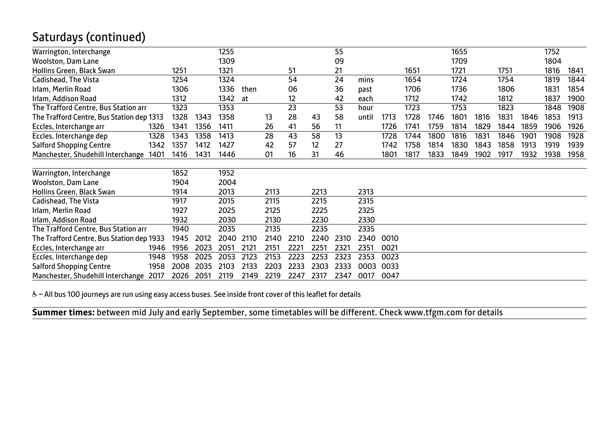## Saturdays (continued)

| Warrington, Interchange                   |      |      | 1255 |      |      |      |      | 55   |       |      |      |      | 1655 |      |      |      | 1752 |      |
|-------------------------------------------|------|------|------|------|------|------|------|------|-------|------|------|------|------|------|------|------|------|------|
| <b>Woolston, Dam Lane</b>                 |      |      | 1309 |      |      |      |      | 09   |       |      |      |      | 1709 |      |      |      | 1804 |      |
| Hollins Green, Black Swan                 | 1251 |      | 1321 |      |      | 51   |      | 21   |       |      | 1651 |      | 1721 |      | 1751 |      | 1816 | 1841 |
| Cadishead, The Vista                      | 1254 |      | 1324 |      |      | 54   |      | 24   | mins  |      | 1654 |      | 1724 |      | 1754 |      | 1819 | 1844 |
| Irlam, Merlin Road                        | 1306 |      | 1336 | then |      | 06   |      | 36   | past  |      | 1706 |      | 1736 |      | 1806 |      | 1831 | 1854 |
| Irlam, Addison Road                       | 1312 |      | 1342 | at   |      | 12   |      | 42   | each  |      | 1712 |      | 1742 |      | 1812 |      | 1837 | 1900 |
| The Trafford Centre, Bus Station arr      | 1323 |      | 1353 |      |      | 23   |      | 53   | hour  |      | 1723 |      | 1753 |      | 1823 |      | 1848 | 1908 |
| The Trafford Centre, Bus Station dep 1313 | 1328 | 1343 | 1358 |      | 13   | 28   | 43   | 58   | until | 1713 | 1728 | 1746 | 1801 | 1816 | 1831 | 1846 | 1853 | 1913 |
| Eccles, Interchange arr<br>1326           | 1341 | 1356 | 1411 |      | 26   | 41   | 56   | 11   |       | 1726 | 1741 | 1759 | 1814 | 1829 | 1844 | 1859 | 1906 | 1926 |
| 1328<br>Eccles, Interchange dep           | 1343 | 1358 | 1413 |      | 28   | 43   | 58   | 13   |       | 1728 | 1744 | 1800 | 1816 | 1831 | 1846 | 1901 | 1908 | 1928 |
| <b>Salford Shopping Centre</b><br>1342    | 1357 | 1412 | 1427 |      | 42   | 57   | 12   | 27   |       | 1742 | 1758 | 1814 | 1830 | 1843 | 1858 | 1913 | 1919 | 1939 |
| Manchester, Shudehill Interchange 1401    | 1416 | 1431 | 1446 |      | 01   | 16   | 31   | 46   |       | 1801 | 1817 | 1833 | 1849 | 1902 | 1917 | 1932 | 1938 | 1958 |
|                                           |      |      |      |      |      |      |      |      |       |      |      |      |      |      |      |      |      |      |
| Warrington, Interchange                   | 1852 |      | 1952 |      |      |      |      |      |       |      |      |      |      |      |      |      |      |      |
| <b>Woolston, Dam Lane</b>                 | 1904 |      | 2004 |      |      |      |      |      |       |      |      |      |      |      |      |      |      |      |
| Hollins Green, Black Swan                 | 1914 |      | 2013 |      | 2113 |      | 2213 |      | 2313  |      |      |      |      |      |      |      |      |      |
| Cadishead, The Vista                      | 1917 |      | 2015 |      | 2115 |      | 2215 |      | 2315  |      |      |      |      |      |      |      |      |      |
| Irlam, Merlin Road                        | 1927 |      | 2025 |      | 2125 |      | 2225 |      | 2325  |      |      |      |      |      |      |      |      |      |
| Irlam, Addison Road                       | 1932 |      | 2030 |      | 2130 |      | 2230 |      | 2330  |      |      |      |      |      |      |      |      |      |
| The Trafford Centre, Bus Station arr      | 1940 |      | 2035 |      | 2135 |      | 2235 |      | 2335  |      |      |      |      |      |      |      |      |      |
| The Trafford Centre, Bus Station dep 1933 | 1945 | 2012 | 2040 | 2110 | 2140 | 2210 | 2240 | 2310 | 2340  | 0010 |      |      |      |      |      |      |      |      |
| Eccles, Interchange arr<br>1946           | 1956 | 2023 | 2051 | 2121 | 2151 | 2221 | 2251 | 2321 | 2351  | 0021 |      |      |      |      |      |      |      |      |
| Eccles, Interchange dep<br>1948           | 1958 | 2025 | 2053 | 2123 | 2153 | 2223 | 2253 | 2323 | 2353  | 0023 |      |      |      |      |      |      |      |      |
| <b>Salford Shopping Centre</b><br>1958    | 2008 | 2035 | 2103 | 2133 | 2203 | 2233 | 2303 | 2333 | 0003  | 0033 |      |      |      |      |      |      |      |      |
| Manchester, Shudehill Interchange 2017    | 2026 | 2051 | 2119 | 2149 | 2219 | 2247 | 2317 | 2347 | 0017  | 0047 |      |      |      |      |      |      |      |      |

& - All bus 100 journeys are run using easy access buses. See inside front cover of this leaflet for details

**Summer times:** between mid July and early September, some timetables will be different. Check www.tfgm.com for details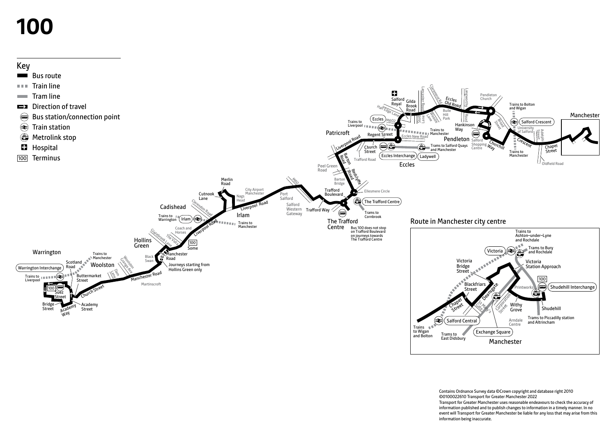# **100**



Contains Ordnance Survey data ©Crown copyright and database right 2010 ©0100022610 Transport for Greater Manchester 2022 Transport for Greater Manchester uses reasonable endeavours to check the accuracy of information published and to publish changes to information in a timely manner. In no event will Transport for Greater Manchester be liable for any loss that may arise from this information being inaccurate.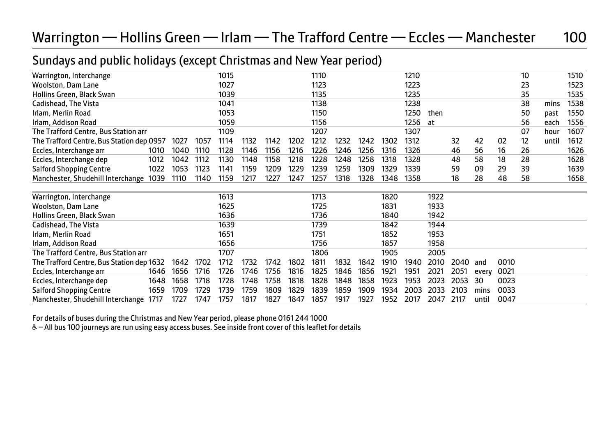## Warrington — Hollins Green — Irlam — The Trafford Centre — Eccles — Manchester 100

### Sundays and public holidays (except Christmas and New Year period)

|                                           |      |      | 1015 |              |      |      | 1110 |      |      |      | 1210         |      |      |       |      | 10 |       | 1510 |
|-------------------------------------------|------|------|------|--------------|------|------|------|------|------|------|--------------|------|------|-------|------|----|-------|------|
|                                           |      |      | 1027 |              |      |      | 1123 |      |      |      | 1223         |      |      |       |      | 23 |       | 1523 |
|                                           |      |      | 1039 |              |      |      | 1135 |      |      |      | 1235         |      |      |       |      | 35 |       | 1535 |
|                                           |      |      | 1041 |              |      |      | 1138 |      |      |      | 1238         |      |      |       |      | 38 | mins  | 1538 |
|                                           |      |      | 1053 |              |      |      | 1150 |      |      |      | 1250         | then |      |       |      | 50 | past  | 1550 |
|                                           |      |      | 1059 |              |      |      | 1156 |      |      |      | 1256         | at   |      |       |      | 56 | each  | 1556 |
|                                           |      |      | 1109 |              |      |      | 1207 |      |      |      | 1307         |      |      |       |      | 07 | hour  | 1607 |
| The Trafford Centre, Bus Station dep 0957 | 1027 | 1057 | 1114 | 1132         | 1142 | 1202 | 1212 | 1232 | 1242 | 1302 | 1312         |      | 32   | 42    | 02   | 12 | until | 1612 |
| 1010                                      | 1040 | 1110 | 1128 | 1146         | 1156 | 1216 | 1226 | 1246 | 1256 | 1316 | 1326         |      | 46   | 56    | 16   | 26 |       | 1626 |
| 1012                                      | 1042 | 1112 | 1130 | 1148         | 1158 | 1218 | 1228 | 1248 | 1258 | 1318 | 1328         |      | 48   | 58    | 18   | 28 |       | 1628 |
| 1022                                      | 1053 | 1123 | 1141 | 1159         | 1209 | 1229 | 1239 | 1259 | 1309 | 1329 | 1339         |      | 59   | 09    | 29   | 39 |       | 1639 |
| 1039                                      | 1110 | 1140 | 1159 | 1217         | 1227 | 1247 | 1257 | 1318 | 1328 | 1348 | 1358         |      | 18   | 28    | 48   | 58 |       | 1658 |
|                                           |      |      |      |              |      |      |      |      |      |      |              |      |      |       |      |    |       |      |
|                                           |      |      | 1613 |              |      |      | 1713 |      |      | 1820 |              | 1922 |      |       |      |    |       |      |
|                                           |      |      | 1625 |              |      |      | 1725 |      |      | 1831 |              | 1933 |      |       |      |    |       |      |
|                                           |      |      |      |              |      |      | 1736 |      |      | 1840 |              | 1942 |      |       |      |    |       |      |
|                                           |      |      |      |              |      |      | 1739 |      |      | 1842 |              | 1944 |      |       |      |    |       |      |
|                                           |      |      | 1651 |              |      |      | 1751 |      |      | 1852 |              | 1953 |      |       |      |    |       |      |
|                                           |      |      | 1656 |              |      |      | 1756 |      |      |      |              | 1958 |      |       |      |    |       |      |
|                                           |      |      | 1707 |              |      |      | 1806 |      |      | 1905 |              | 2005 |      |       |      |    |       |      |
| The Trafford Centre, Bus Station dep 1632 | 1642 | 1702 | 1712 | 1732         |      | 1802 | 1811 | 1832 | 1842 |      | 1940         | 2010 | 2040 | and   | 0010 |    |       |      |
| 1646                                      | 1656 | 1716 | 1726 | 1746         | 1756 | 1816 | 1825 | 1846 | 1856 | 1921 | 1951         | 2021 | 2051 | every | 0021 |    |       |      |
| 1648                                      | 1658 | 1718 | 1728 | 1748         | 1758 | 1818 | 1828 | 1848 | 1858 | 1923 | 1953         | 2023 | 2053 | 30    | 0023 |    |       |      |
| 1659                                      | 1709 | 1729 | 1739 | 1759         | 1809 | 1829 | 1839 | 1859 | 1909 | 1934 | 2003         | 2033 | 2103 | mins  | 0033 |    |       |      |
| 1717                                      | 1727 | 1747 | 1757 | 1817         | 1827 | 1847 | 1857 | 1917 | 1927 | 1952 | 2017         | 2047 | 2117 | until | 0047 |    |       |      |
|                                           |      |      |      | 1636<br>1639 |      | 1742 |      |      |      |      | 1857<br>1910 |      |      |       |      |    |       |      |

For details of buses during the Christmas and New Year period, please phone 0161 244 1000

& - All bus 100 journeys are run using easy access buses. See inside front cover of this leaflet for details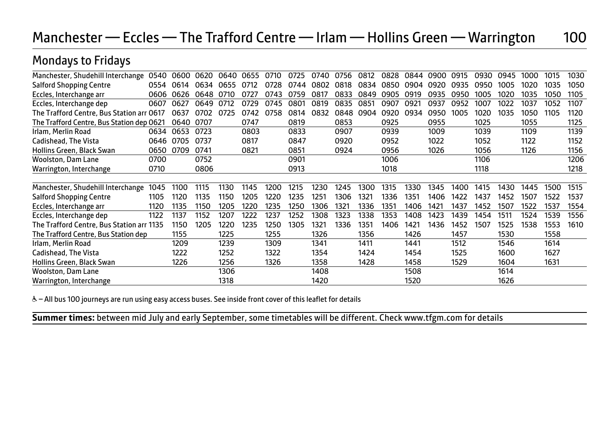## Manchester — Eccles — The Trafford Centre — Irlam — Hollins Green — Warrington 100

#### Mondays to Fridays

| Manchester, Shudehill Interchange         | 0540 | 0600 | 0620 | 0640 | 0655 | 0710 | 0725 | 0740 | 0756 | 0812 | 0828 | 0844 | 0900 | 0915 | 0930 | 0945 | 1000 | 1015 | 1030 |
|-------------------------------------------|------|------|------|------|------|------|------|------|------|------|------|------|------|------|------|------|------|------|------|
| <b>Salford Shopping Centre</b>            | 0554 | 0614 | 0634 | 0655 | 0712 | 0728 | 0744 | 0802 | 0818 | 0834 | 0850 | 0904 | 0920 | 0935 | 0950 | 1005 | 1020 | 1035 | 1050 |
| Eccles, Interchange arr                   | 0606 | 0626 | 0648 | 0710 | 0727 | 0743 | 0759 | 0817 | 0833 | 0849 | 0905 | 0919 | 0935 | 0950 | 1005 | 1020 | 1035 | 1050 | 1105 |
| Eccles, Interchange dep                   | 0607 | 0627 | 0649 | 0712 | 0729 | 0745 | 0801 | 0819 | 0835 | 0851 | 0907 | 0921 | 0937 | 0952 | 1007 | 1022 | 1037 | 1052 | 1107 |
| The Trafford Centre, Bus Station arr 0617 |      | 0637 | 0702 | 0725 | 0742 | 0758 | 0814 | 0832 | 0848 | 0904 | 0920 | 0934 | 0950 | 1005 | 1020 | 1035 | 1050 | 1105 | 1120 |
| The Trafford Centre, Bus Station dep 0621 |      | 0640 | 0707 |      | 0747 |      | 0819 |      | 0853 |      | 0925 |      | 0955 |      | 1025 |      | 1055 |      | 1125 |
| Irlam, Merlin Road                        | 0634 | 0653 | 0723 |      | 0803 |      | 0833 |      | 0907 |      | 0939 |      | 1009 |      | 1039 |      | 1109 |      | 1139 |
| Cadishead, The Vista                      | 0646 | 0705 | 0737 |      | 0817 |      | 0847 |      | 0920 |      | 0952 |      | 1022 |      | 1052 |      | 1122 |      | 1152 |
| Hollins Green, Black Swan                 | 0650 | 0709 | 0741 |      | 0821 |      | 0851 |      | 0924 |      | 0956 |      | 1026 |      | 1056 |      | 1126 |      | 1156 |
| Woolston, Dam Lane                        | 0700 |      | 0752 |      |      |      | 0901 |      |      |      | 1006 |      |      |      | 1106 |      |      |      | 1206 |
| Warrington, Interchange                   | 0710 |      | 0806 |      |      |      | 0913 |      |      |      | 1018 |      |      |      | 1118 |      |      |      | 1218 |
|                                           |      |      |      |      |      |      |      |      |      |      |      |      |      |      |      |      |      |      |      |
| Manchester, Shudehill Interchange         | 1045 | 1100 | 1115 | 1130 | 1145 | 1200 | 1215 | 1230 | 1245 | 1300 | 1315 | 1330 | 1345 | 1400 | 1415 | 1430 | 1445 | 1500 | 1515 |
| <b>Salford Shopping Centre</b>            | 1105 | 1120 | 1135 | 1150 | 1205 | 1220 | 1235 | 1251 | 1306 | 1321 | 1336 | 1351 | 1406 | 1422 | 1437 | 1452 | 1507 | 1522 | 1537 |
| Eccles, Interchange arr                   | 1120 | 1135 | 1150 | 1205 | 1220 | 1235 | 1250 | 1306 | 1321 | 1336 | 1351 | 1406 | 1421 | 1437 | 1452 | 1507 | 1522 | 1537 | 1554 |
| Eccles, Interchange dep                   | 1122 | 1137 | 1152 | 1207 | 1222 | 1237 | 1252 | 1308 | 1323 | 1338 | 1353 | 1408 | 1423 | 1439 | 1454 | 1511 | 1524 | 1539 | 1556 |
| The Trafford Centre, Bus Station arr 1135 |      | 1150 | 1205 | 1220 | 1235 | 1250 | 1305 | 1321 | 1336 | 1351 | 1406 | 1421 | 1436 | 1452 | 1507 | 1525 | 1538 | 1553 | 1610 |
| The Trafford Centre, Bus Station dep      |      | 1155 |      | 1225 |      | 1255 |      | 1326 |      | 1356 |      | 1426 |      | 1457 |      | 1530 |      | 1558 |      |
| Irlam, Merlin Road                        |      | 1209 |      | 1239 |      | 1309 |      | 1341 |      | 1411 |      | 1441 |      | 1512 |      | 1546 |      | 1614 |      |
| Cadishead, The Vista                      |      | 1222 |      | 1252 |      | 1322 |      | 1354 |      | 1424 |      | 1454 |      | 1525 |      | 1600 |      | 1627 |      |
| Hollins Green, Black Swan                 |      | 1226 |      | 1256 |      | 1326 |      | 1358 |      | 1428 |      | 1458 |      | 1529 |      | 1604 |      | 1631 |      |
| <b>Woolston, Dam Lane</b>                 |      |      |      | 1306 |      |      |      | 1408 |      |      |      | 1508 |      |      |      | 1614 |      |      |      |
| Warrington, Interchange                   |      |      |      | 1318 |      |      |      | 1420 |      |      |      | 1520 |      |      |      | 1626 |      |      |      |

& - All bus 100 journeys are run using easy access buses. See inside front cover of this leaflet for details

**Summer times:** between mid July and early September, some timetables will be different. Check www.tfgm.com for details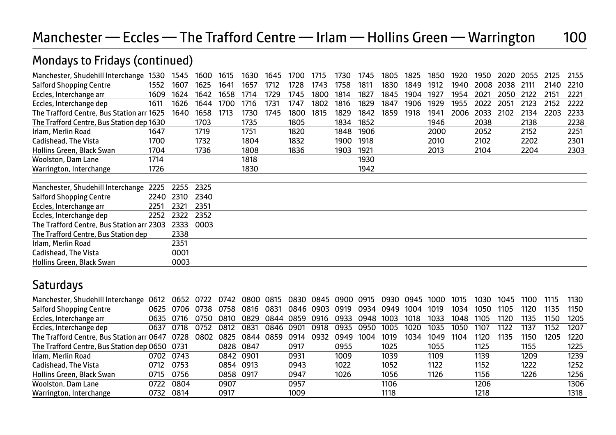## Manchester — Eccles — The Trafford Centre — Irlam — Hollins Green — Warrington 100

#### Manchester, Shudehill Interchange 1530 1545 1600 1615 1630 1645 1700 1715 1730 1745 1805 1825 1850 1920 1950 2020 2055 2125 2155 Salford Shopping Centre 1552 1607 1625 1641 1657 1712 1728 1743 1758 1811 1830 1849 1912 1940 2008 2038 2111 2140 2210<br>Eccles Interchange arr 1609 1624 1642 1658 1714 1729 1745 1800 1814 1827 1845 1904 1927 1954 2021 2050 Eccles, Interchange arr 1609 1624 1642 1658 1714 1729 1745 1800 1814 1827 1845 1904 1927 1954 2021 2050 2122 2151 2221 Eccles, Interchange dep 1611 1626 1644 1700 1716 1731 1747 1802 1816 1829 1847 1906 1929 1955 2022 2051 2123 2152 2222<br>The Trafford Centre. Bus Station arr 1625 1640 1658 1713 1730 1745 1800 1815 1829 1842 1859 1918 1941 2 The Trafford Centre, Bus Station arr 1625 1640 1658 1713 1730 1745 1800 1815 1829 1842 1859 1918 1941 2006 2033 2102 2134 2203 2233 The Trafford Centre, Bus Station dep 1630 1703 1735 1805 1834 1852 1946 2038 2138 2238 Irlam, Merlin Road 1647 1719 1751 1820 1848 1906 2000 2052 2152 2251 Cadishead, The Vista 1700 1732 1804 1832 1900 1918 2010 2102 2202 2301 Hollins Green, Black Swan 1704 1736 1808 1836 1903 1921 2013 2104 2204 2303 |<br>| Woolston, Dam Lane | 1714 | 1818 | 1930 | 1942 | 1942 | 1942 | 1942 | 1942 | 1942 | 1942 | 1942 | 1942 | 1950 | 1950 | 1962 | 1972 | 1972 | 1980 | 1980 | 1980 | 1980 | 1980 | 1980 | 1980 | 1980 | 1980 | 1980 | 1980 | 1 Warrington, Interchange 1726 1830 Manchester, Shudehill Interchange 2225 2255 2325 Salford Shopping Centre 2240 2310 2340 Eccles, Interchange arr <br>
Freies Interchange den 2252 2322 2352 Eccles, Interchange dep 2252 2322 2352<br>The Trafford Centre. Bus Station arr 2303 2333 0003 The Trafford Centre, Bus Station arr 2303 The Trafford Centre, Bus Station dep 2338<br>Irlam Merlin Road 2351 Irlam, Merlin Road Cadishead, The Vista **1988 Cadishead**, The Vista **1988** Hollins Green, Black Swan 60003

#### Mondays to Fridays (continued)

## **Saturdays**

| Manchester, Shudehill Interchange              | 0612 |           |      | 0652 0722 0742 | 0800 0815 |      |      |      |      |      | 0830 0845 0900 0915 0930 0945 |      | 1000 | 1015 | 1030 | 1045 | 1100 | 1115 | 1130 |
|------------------------------------------------|------|-----------|------|----------------|-----------|------|------|------|------|------|-------------------------------|------|------|------|------|------|------|------|------|
| <b>Salford Shopping Centre</b>                 | 0625 | 0706 0738 |      | 0758           | 0816      | 0831 | 0846 | 0903 | 0919 | 0934 | 0949                          | 1004 | 1019 | 1034 | 1050 | 1105 | 1120 | 1135 | 1150 |
| Eccles, Interchange arr                        | 0635 | 0716      | 0750 | 0810           | 0829      | 0844 | 0859 | 0916 | 0933 | 0948 | 1003                          | 1018 | 1033 | 1048 | 1105 | 1120 | 1135 | 1150 | 1205 |
| Eccles, Interchange dep                        | 0637 | 0718      | 0752 | 0812           | 0831      | 0846 | 0901 | 0918 | 0935 | 0950 | 1005                          | 1020 | 1035 | 1050 | 1107 | 1122 | 1137 | 1152 | 1207 |
| The Trafford Centre, Bus Station arr 0647      |      | 0728      | 0802 | 0825           | 0844      | 0859 | 0914 | 0932 | 0949 | 1004 | 1019                          | 1034 | 1049 | 1104 | 1120 | 1135 | 1150 | 1205 | 1220 |
| The Trafford Centre, Bus Station dep 0650 0731 |      |           |      | 0828           | 0847      |      | 0917 |      | 0955 |      | 1025                          |      | 1055 |      | 1125 |      | 1155 |      | 1225 |
| Irlam, Merlin Road                             | 0702 | 0743      |      | 0842 0901      |           |      | 0931 |      | 1009 |      | 1039                          |      | 1109 |      | 1139 |      | 1209 |      | 1239 |
| Cadishead, The Vista                           | 0712 | 0753      |      | 0854 0913      |           |      | 0943 |      | 1022 |      | 1052                          |      | 1122 |      | 1152 |      | 1222 |      | 1252 |
| Hollins Green, Black Swan                      | 0715 | 0756      |      | 0858 0917      |           |      | 0947 |      | 1026 |      | 1056                          |      | 1126 |      | 1156 |      | 1226 |      | 1256 |
| Woolston, Dam Lane                             | 0722 | 0804      |      | 0907           |           |      | 0957 |      |      |      | 1106                          |      |      |      | 1206 |      |      |      | 1306 |
| Warrington, Interchange                        | 0732 | 0814      |      | 0917           |           |      | 1009 |      |      |      | 1118                          |      |      |      | 1218 |      |      |      | 1318 |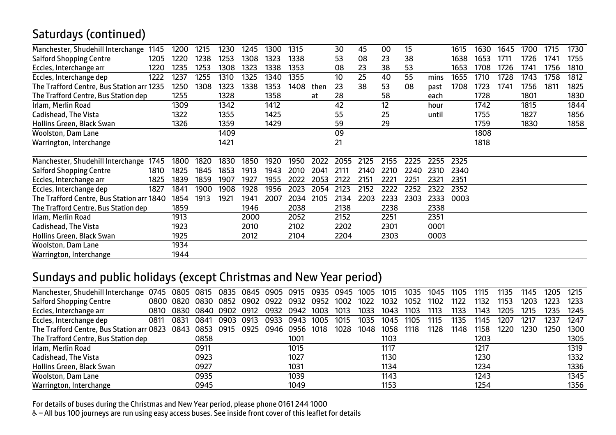## Saturdays (continued)

| Manchester, Shudehill Interchange<br>1145 | 1200 | 1215 | 1230 | 1245 | 1300 | 1315 |      | 30   | 45   | 00   | 15   |       | 1615 | 1630 | 1645 | 1700 | 1715 | 1730 |
|-------------------------------------------|------|------|------|------|------|------|------|------|------|------|------|-------|------|------|------|------|------|------|
| <b>Salford Shopping Centre</b><br>1205    | 1220 | 1238 | 1253 | 1308 | 1323 | 1338 |      | 53   | 08   | 23   | 38   |       | 1638 | 1653 | 1711 | 1726 | 1741 | 1755 |
| 1220<br>Eccles, Interchange arr           | 1235 | 1253 | 1308 | 1323 | 1338 | 1353 |      | 08   | 23   | 38   | 53   |       | 1653 | 1708 | 1726 | 1741 | 1756 | 1810 |
| Eccles, Interchange dep<br>1222           | 1237 | 1255 | 1310 | 1325 | 1340 | 1355 |      | 10   | 25   | 40   | 55   | mins  | 1655 | 1710 | 1728 | 1743 | 1758 | 1812 |
| The Trafford Centre, Bus Station arr 1235 | 1250 | 1308 | 1323 | 1338 | 1353 | 1408 | then | 23   | 38   | 53   | 08   | past  | 1708 | 1723 | 1741 | 1756 | 1811 | 1825 |
| The Trafford Centre, Bus Station dep      | 1255 |      | 1328 |      | 1358 |      | at   | 28   |      | 58   |      | each  |      | 1728 |      | 1801 |      | 1830 |
| Irlam, Merlin Road                        | 1309 |      | 1342 |      | 1412 |      |      | 42   |      | 12   |      | hour  |      | 1742 |      | 1815 |      | 1844 |
| Cadishead, The Vista                      | 1322 |      | 1355 |      | 1425 |      |      | 55   |      | 25   |      | until |      | 1755 |      | 1827 |      | 1856 |
| Hollins Green, Black Swan                 | 1326 |      | 1359 |      | 1429 |      |      | 59   |      | 29   |      |       |      | 1759 |      | 1830 |      | 1858 |
| Woolston, Dam Lane                        |      |      | 1409 |      |      |      |      | 09   |      |      |      |       |      | 1808 |      |      |      |      |
| Warrington, Interchange                   |      |      | 1421 |      |      |      |      | 21   |      |      |      |       |      | 1818 |      |      |      |      |
|                                           |      |      |      |      |      |      |      |      |      |      |      |       |      |      |      |      |      |      |
| 1745<br>Manchester, Shudehill Interchange | 1800 | 1820 | 1830 | 1850 | 1920 | 1950 | 2022 | 2055 | 2125 | 2155 | 2225 | 2255  | 2325 |      |      |      |      |      |
| <b>Salford Shopping Centre</b><br>1810    | 1825 | 1845 | 1853 | 1913 | 1943 | 2010 | 2041 | 2111 | 2140 | 2210 | 2240 | 2310  | 2340 |      |      |      |      |      |
| Eccles, Interchange arr<br>1825           | 1839 | 1859 | 1907 | 1927 | 1955 | 2022 | 2053 | 2122 | 2151 | 2221 | 2251 | 2321  | 2351 |      |      |      |      |      |
| Eccles, Interchange dep<br>1827           | 1841 | 1900 | 1908 | 1928 | 1956 | 2023 | 2054 | 2123 | 2152 | 2222 | 2252 | 2322  | 2352 |      |      |      |      |      |
| The Trafford Centre, Bus Station arr 1840 | 1854 | 1913 | 1921 | 1941 | 2007 | 2034 | 2105 | 2134 | 2203 | 2233 | 2303 | 2333  | 0003 |      |      |      |      |      |
| The Trafford Centre, Bus Station dep      | 1859 |      |      | 1946 |      | 2038 |      | 2138 |      | 2238 |      | 2338  |      |      |      |      |      |      |
| Irlam, Merlin Road                        | 1913 |      |      | 2000 |      | 2052 |      | 2152 |      | 2251 |      | 2351  |      |      |      |      |      |      |
| Cadishead, The Vista                      | 1923 |      |      | 2010 |      | 2102 |      | 2202 |      | 2301 |      | 0001  |      |      |      |      |      |      |
| Hollins Green, Black Swan                 | 1925 |      |      | 2012 |      | 2104 |      | 2204 |      | 2303 |      | 0003  |      |      |      |      |      |      |
| <b>Woolston, Dam Lane</b>                 | 1934 |      |      |      |      |      |      |      |      |      |      |       |      |      |      |      |      |      |
| Warrington, Interchange                   | 1944 |      |      |      |      |      |      |      |      |      |      |       |      |      |      |      |      |      |

#### Sundays and public holidays (except Christmas and New Year period)

| 0745                                 |      |      |      |                                                                                                   |      |      |           |                                       |      |      | 1035                | 1045 | 1105 | 1115 | 1135 | 1145 | 1205 | 1215 |
|--------------------------------------|------|------|------|---------------------------------------------------------------------------------------------------|------|------|-----------|---------------------------------------|------|------|---------------------|------|------|------|------|------|------|------|
|                                      |      |      |      | 0902                                                                                              |      | 0932 | 0952      | 1002                                  | 1022 | 1032 | 1052                | 1102 | 1122 | 1132 | 1153 | 1203 | 1223 | 1233 |
| 0810                                 |      |      |      |                                                                                                   | 0932 | 0942 | 1003      | 1013                                  | 1033 | 1043 | 1103                | 1113 | 1133 | 1143 | 1205 | 1215 | 1235 | 1245 |
| 0811                                 | 0831 | 0841 | 0903 | 0913                                                                                              | 0933 | 0943 | 1005      | 1015                                  | 1035 | 1045 | 1105                | 1115 | 1135 | 1145 | 1207 | 1217 | 1237 | 1247 |
|                                      |      |      |      | 0925                                                                                              |      |      |           | 1028                                  | 1048 | 1058 | 1118                | 1128 | 1148 | 1158 | 1220 | 1230 | 1250 | 1300 |
| The Trafford Centre, Bus Station dep |      | 0858 |      |                                                                                                   |      | 1001 |           |                                       |      | 1103 |                     |      |      | 1203 |      |      |      | 1305 |
|                                      |      | 0911 |      |                                                                                                   |      | 1015 |           |                                       |      | 1117 |                     |      |      | 1217 |      |      |      | 1319 |
|                                      |      | 0923 |      |                                                                                                   |      | 1027 |           |                                       |      | 1130 |                     |      |      | 1230 |      |      |      | 1332 |
|                                      |      | 0927 |      |                                                                                                   |      | 1031 |           |                                       |      | 1134 |                     |      |      | 1234 |      |      |      | 1336 |
|                                      |      | 0935 |      |                                                                                                   |      | 1039 |           |                                       |      | 1143 |                     |      |      | 1243 |      |      |      | 1345 |
|                                      |      | 0945 |      |                                                                                                   |      | 1049 |           |                                       |      | 1153 |                     |      |      | 1254 |      |      |      | 1356 |
|                                      |      |      |      | 0800 0820 0830 0852<br>0830 0840 0902<br>The Trafford Centre, Bus Station arr 0823 0843 0853 0915 | 0912 | 0922 | 0946 0956 | 0805 0815 0835 0845 0905 0915<br>1018 |      |      | 0935 0945 1005 1015 |      |      |      |      |      |      |      |

For details of buses during the Christmas and New Year period, please phone 0161 244 1000

& - All bus 100 journeys are run using easy access buses. See inside front cover of this leaflet for details